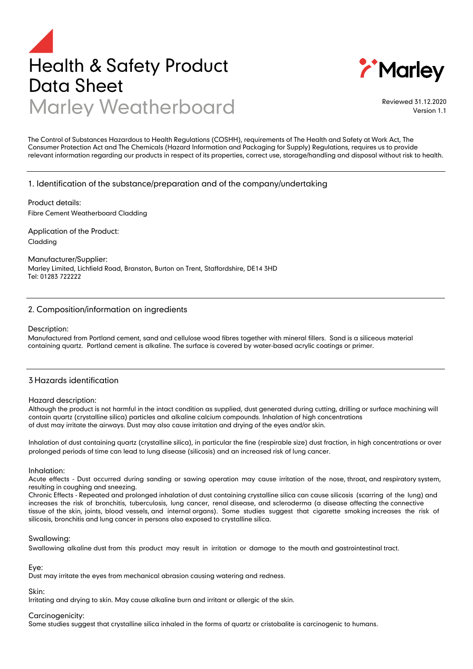# Health & Safety Product Data Sheet Marley Weatherboard Reviewed 31.12.2020



Version 1.1

The Control of Substances Hazardous to Health Regulations (COSHH), requirements of The Health and Safety at Work Act, The Consumer Protection Act and The Chemicals (Hazard Information and Packaging for Supply) Regulations, requires us to provide relevant information regarding our products in respect of its properties, correct use, storage/handling and disposal without risk to health.

# 1. Identification of the substance/preparation and of the company/undertaking

Product details: Fibre Cement Weatherboard Cladding

Application of the Product: Cladding

Manufacturer/Supplier: Marley Limited, Lichfield Road, Branston, Burton on Trent, Staffordshire, DE14 3HD Tel: 01283 722222

# 2. Composition/information on ingredients

#### Description:

Manufactured from Portland cement, sand and cellulose wood fibres together with mineral fillers. Sand is a siliceous material containing quartz. Portland cement is alkaline. The surface is covered by water-based acrylic coatings or primer.

# 3 Hazards identification

#### Hazard description:

Although the product is not harmful in the intact condition as supplied, dust generated during cutting, drilling or surface machining will contain quartz (crystalline silica) particles and alkaline calcium compounds. Inhalation of high concentrations of dust may irritate the airways. Dust may also cause irritation and drying of the eyes and/or skin.

Inhalation of dust containing quartz (crystalline silica), in particular the fine (respirable size) dust fraction, in high concentrations or over prolonged periods of time can lead to lung disease (silicosis) and an increased risk of lung cancer.

#### Inhalation:

Acute effects - Dust occurred during sanding or sawing operation may cause irritation of the nose, throat, and respiratory system, resulting in coughing and sneezing.

Chronic Effects - Repeated and prolonged inhalation of dust containing crystalline silica can cause silicosis (scarring of the lung) and increases the risk of bronchitis, tuberculosis, lung cancer, renal disease, and scleroderma (a disease affecting the connective tissue of the skin, joints, blood vessels, and internal organs). Some studies suggest that cigarette smoking increases the risk of silicosis, bronchitis and lung cancer in persons also exposed to crystalline silica.

#### Swallowing:

Swallowing alkaline dust from this product may result in irritation or damage to the mouth and gastrointestinal tract.

Eye:

Dust may irritate the eyes from mechanical abrasion causing watering and redness.

Skin:

Irritating and drying to skin. May cause alkaline burn and irritant or allergic of the skin.

#### Carcinogenicity:

Some studies suggest that crystalline silica inhaled in the forms of quartz or cristobalite is carcinogenic to humans.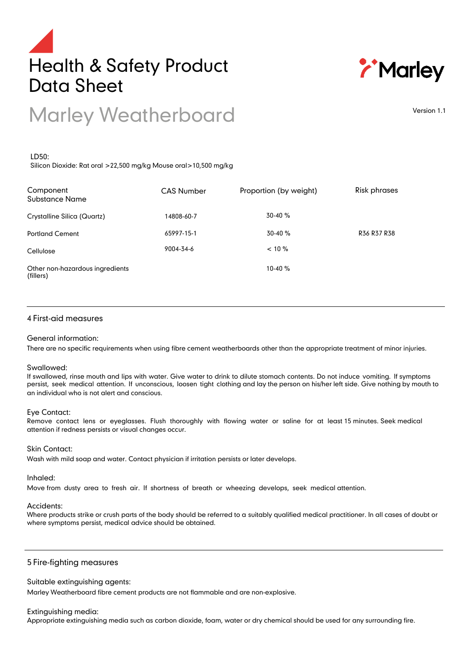



# Marley Weatherboard

Version 1.1

# LD50:

Silicon Dioxide: Rat oral >22,500 mg/kg Mouse oral>10,500 mg/kg

| Component<br>Substance Name                  | <b>CAS Number</b> | Proportion (by weight) | <b>Risk phrases</b> |
|----------------------------------------------|-------------------|------------------------|---------------------|
| Crystalline Silica (Quartz)                  | 14808-60-7        | $30-40%$               |                     |
| <b>Portland Cement</b>                       | 65997-15-1        | $30-40%$               | R36 R37 R38         |
| Cellulose                                    | 9004-34-6         | $< 10 \%$              |                     |
| Other non-hazardous ingredients<br>(fillers) |                   | 10-40 %                |                     |

# 4 First-aid measures

#### General information:

There are no specific requirements when using fibre cement weatherboards other than the appropriate treatment of minor injuries.

#### Swallowed:

If swallowed, rinse mouth and lips with water. Give water to drink to dilute stomach contents. Do not induce vomiting. If symptoms persist, seek medical attention. If unconscious, loosen tight clothing and lay the person on his/her left side. Give nothing by mouth to an individual who is not alert and conscious.

#### Eye Contact:

Remove contact lens or eyeglasses. Flush thoroughly with flowing water or saline for at least 15 minutes. Seek medical attention if redness persists or visual changes occur.

### Skin Contact:

Wash with mild soap and water. Contact physician if irritation persists or later develops.

#### Inhaled:

Move from dusty area to fresh air. If shortness of breath or wheezing develops, seek medical attention.

#### Accidents:

Where products strike or crush parts of the body should be referred to a suitably qualified medical practitioner. In all cases of doubt or where symptoms persist, medical advice should be obtained.

# 5 Fire-fighting measures

Suitable extinguishing agents:

Marley Weatherboard fibre cement products are not flammable and are non-explosive.

#### Extinguishing media:

Appropriate extinguishing media such as carbon dioxide, foam, water or dry chemical should be used for any surrounding fire.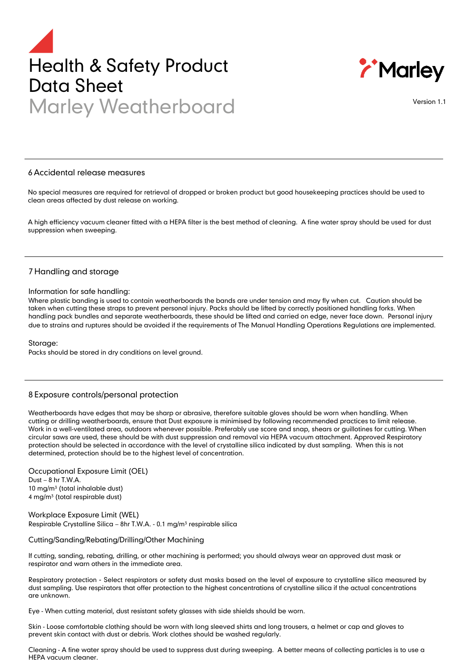# Health & Safety Product Data Sheet Marley Weatherboard Version 1.1



#### 6 Accidental release measures

No special measures are required for retrieval of dropped or broken product but good housekeeping practices should be used to clean areas affected by dust release on working.

A high efficiency vacuum cleaner fitted with a HEPA filter is the best method of cleaning. A fine water spray should be used for dust suppression when sweeping.

# 7 Handling and storage

#### Information for safe handling:

Where plastic banding is used to contain weatherboards the bands are under tension and may fly when cut. Caution should be taken when cutting these straps to prevent personal injury. Packs should be lifted by correctly positioned handling forks. When handling pack bundles and separate weatherboards, these should be lifted and carried on edge, never face down. Personal injury due to strains and ruptures should be avoided if the requirements of The Manual Handling Operations Regulations are implemented.

#### Storage:

Packs should be stored in dry conditions on level ground.

# 8 Exposure controls/personal protection

Weatherboards have edges that may be sharp or abrasive, therefore suitable gloves should be worn when handling. When cutting or drilling weatherboards, ensure that Dust exposure is minimised by following recommended practices to limit release. Work in a well-ventilated area, outdoors whenever possible. Preferably use score and snap, shears or guillotines for cutting. When circular saws are used, these should be with dust suppression and removal via HEPA vacuum attachment. Approved Respiratory protection should be selected in accordance with the level of crystalline silica indicated by dust sampling. When this is not determined, protection should be to the highest level of concentration.

Occupational Exposure Limit (OEL) Dust – 8 hr T.W.A. 10 mg/m $3$  (total inhalable dust) 4 mg/m<sup>3</sup> (total respirable dust)

#### Workplace Exposure Limit (WEL) Respirable Crystalline Silica - 8hr T.W.A. - 0.1 mg/m<sup>3</sup> respirable silica

#### Cutting/Sanding/Rebating/Drilling/Other Machining

If cutting, sanding, rebating, drilling, or other machining is performed; you should always wear an approved dust mask or respirator and warn others in the immediate area.

Respiratory protection - Select respirators or safety dust masks based on the level of exposure to crystalline silica measured by dust sampling. Use respirators that offer protection to the highest concentrations of crystalline silica if the actual concentrations are unknown.

Eye - When cutting material, dust resistant safety glasses with side shields should be worn.

Skin - Loose comfortable clothing should be worn with long sleeved shirts and long trousers, a helmet or cap and gloves to prevent skin contact with dust or debris. Work clothes should be washed regularly.

Cleaning - A fine water spray should be used to suppress dust during sweeping. A better means of collecting particles is to use a HEPA vacuum cleaner.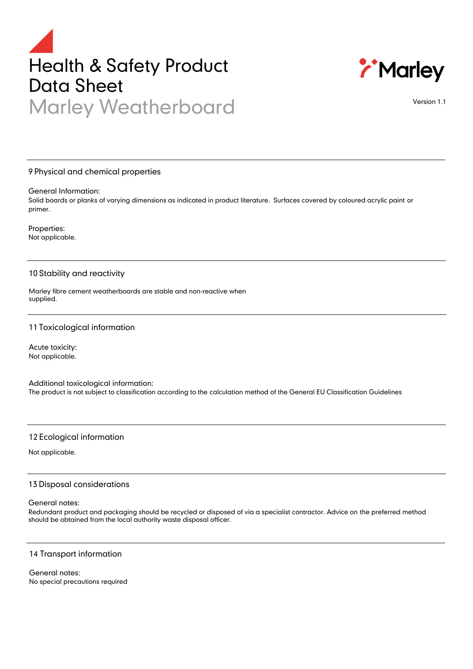# Health & Safety Product Data Sheet Marley Weatherboard



Version 1.1

# 9 Physical and chemical properties

General Information:

Solid boards or planks of varying dimensions as indicated in product literature. Surfaces covered by coloured acrylic paint or primer.

Properties: Not applicable.

# 10 Stability and reactivity

Marley fibre cement weatherboards are stable and non-reactive when supplied.

# 11Toxicological information

Acute toxicity: Not applicable.

Additional toxicological information: The product is not subject to classification according to the calculation method of the General EU Classification Guidelines

# 12 Ecological information

Not applicable.

# 13 Disposal considerations

### General notes:

Redundant product and packaging should be recycled or disposed of via a specialist contractor. Advice on the preferred method should be obtained from the local authority waste disposal officer.

# 14 Transport information

General notes: No special precautions required